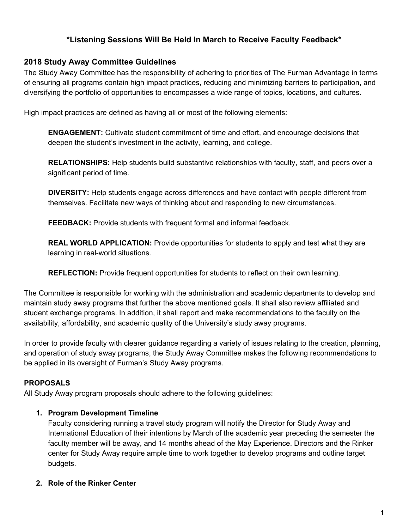# **\*Listening Sessions Will Be Held In March to Receive Faculty Feedback\***

## **2018 Study Away Committee Guidelines**

The Study Away Committee has the responsibility of adhering to priorities of The Furman Advantage in terms of ensuring all programs contain high impact practices, reducing and minimizing barriers to participation, and diversifying the portfolio of opportunities to encompasses a wide range of topics, locations, and cultures.

High impact practices are defined as having all or most of the following elements:

**ENGAGEMENT:** Cultivate student commitment of time and effort, and encourage decisions that deepen the student's investment in the activity, learning, and college.

**RELATIONSHIPS:** Help students build substantive relationships with faculty, staff, and peers over a significant period of time.

**DIVERSITY:** Help students engage across differences and have contact with people different from themselves. Facilitate new ways of thinking about and responding to new circumstances.

**FEEDBACK:** Provide students with frequent formal and informal feedback.

**REAL WORLD APPLICATION:** Provide opportunities for students to apply and test what they are learning in real-world situations.

**REFLECTION:** Provide frequent opportunities for students to reflect on their own learning.

The Committee is responsible for working with the administration and academic departments to develop and maintain study away programs that further the above mentioned goals. It shall also review affiliated and student exchange programs. In addition, it shall report and make recommendations to the faculty on the availability, affordability, and academic quality of the University's study away programs.

In order to provide faculty with clearer guidance regarding a variety of issues relating to the creation, planning, and operation of study away programs, the Study Away Committee makes the following recommendations to be applied in its oversight of Furman's Study Away programs.

### **PROPOSALS**

All Study Away program proposals should adhere to the following guidelines:

### **1. Program Development Timeline**

Faculty considering running a travel study program will notify the Director for Study Away and International Education of their intentions by March of the academic year preceding the semester the faculty member will be away, and 14 months ahead of the May Experience. Directors and the Rinker center for Study Away require ample time to work together to develop programs and outline target budgets.

### **2. Role of the Rinker Center**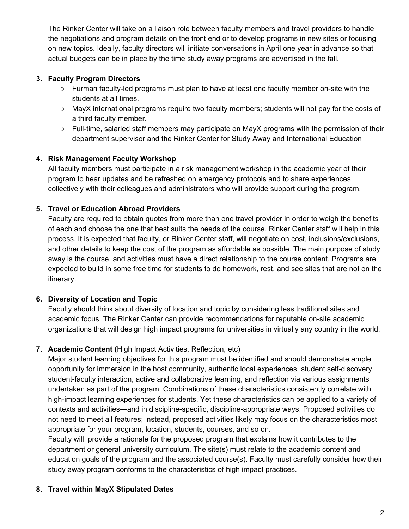The Rinker Center will take on a liaison role between faculty members and travel providers to handle the negotiations and program details on the front end or to develop programs in new sites or focusing on new topics. Ideally, faculty directors will initiate conversations in April one year in advance so that actual budgets can be in place by the time study away programs are advertised in the fall.

## **3. Faculty Program Directors**

- Furman faculty-led programs must plan to have at least one faculty member on-site with the students at all times.
- MayX international programs require two faculty members; students will not pay for the costs of a third faculty member.
- Full-time, salaried staff members may participate on MayX programs with the permission of their department supervisor and the Rinker Center for Study Away and International Education

## **4. Risk Management Faculty Workshop**

All faculty members must participate in a risk management workshop in the academic year of their program to hear updates and be refreshed on emergency protocols and to share experiences collectively with their colleagues and administrators who will provide support during the program.

## **5. Travel or Education Abroad Providers**

Faculty are required to obtain quotes from more than one travel provider in order to weigh the benefits of each and choose the one that best suits the needs of the course. Rinker Center staff will help in this process. It is expected that faculty, or Rinker Center staff, will negotiate on cost, inclusions/exclusions, and other details to keep the cost of the program as affordable as possible. The main purpose of study away is the course, and activities must have a direct relationship to the course content. Programs are expected to build in some free time for students to do homework, rest, and see sites that are not on the itinerary.

## **6. Diversity of Location and Topic**

Faculty should think about diversity of location and topic by considering less traditional sites and academic focus. The Rinker Center can provide recommendations for reputable on-site academic organizations that will design high impact programs for universities in virtually any country in the world.

### **7. Academic Content (**High Impact Activities, Reflection, etc)

Major student learning objectives for this program must be identified and should demonstrate ample opportunity for immersion in the host community, authentic local experiences, student self-discovery, student-faculty interaction, active and collaborative learning, and reflection via various assignments undertaken as part of the program. Combinations of these characteristics consistently correlate with high-impact learning experiences for students. Yet these characteristics can be applied to a variety of contexts and activities—and in discipline-specific, discipline-appropriate ways. Proposed activities do not need to meet all features; instead, proposed activities likely may focus on the characteristics most appropriate for your program, location, students, courses, and so on.

Faculty will provide a rationale for the proposed program that explains how it contributes to the department or general university curriculum. The site(s) must relate to the academic content and education goals of the program and the associated course(s). Faculty must carefully consider how their study away program conforms to the characteristics of high impact practices.

### **8. Travel within MayX Stipulated Dates**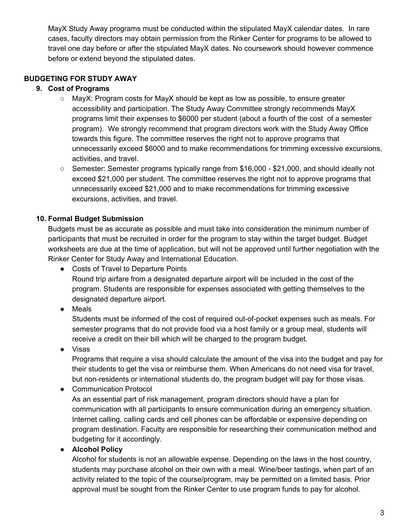MayX Study Away programs must be conducted within the stipulated MayX calendar dates. In rare cases, faculty directors may obtain permission from the Rinker Center for programs to be allowed to travel one day before or after the stipulated MayX dates. No coursework should however commence before or extend beyond the stipulated dates.

## **BUDGETING FOR STUDY AWAY**

## **9. Cost of Programs**

- $\circ$  MayX: Program costs for MayX should be kept as low as possible, to ensure greater accessibility and participation. The Study Away Committee strongly recommends MayX programs limit their expenses to \$6000 per student (about a fourth of the cost of a semester program). We strongly recommend that program directors work with the Study Away Office towards this figure. The committee reserves the right not to approve programs that unnecessarily exceed \$6000 and to make recommendations for trimming excessive excursions, activities, and travel.
- Semester: Semester programs typically range from \$16,000 \$21,000, and should ideally not exceed \$21,000 per student. The committee reserves the right not to approve programs that unnecessarily exceed \$21,000 and to make recommendations for trimming excessive excursions, activities, and travel.

## **10. Formal Budget Submission**

Budgets must be as accurate as possible and must take into consideration the minimum number of participants that must be recruited in order for the program to stay within the target budget. Budget worksheets are due at the time of application, but will not be approved until further negotiation with the Rinker Center for Study Away and International Education.

● Costs of Travel to Departure Points

Round trip airfare from a designated departure airport will be included in the cost of the program. Students are responsible for expenses associated with getting themselves to the designated departure airport.

● Meals

Students must be informed of the cost of required out-of-pocket expenses such as meals. For semester programs that do not provide food via a host family or a group meal, students will receive a credit on their bill which will be charged to the program budget.

● Visas

Programs that require a visa should calculate the amount of the visa into the budget and pay for their students to get the visa or reimburse them. When Americans do not need visa for travel, but non-residents or international students do, the program budget will pay for those visas.

● Communication Protocol

As an essential part of risk management, program directors should have a plan for communication with all participants to ensure communication during an emergency situation. Internet calling, calling cards and cell phones can be affordable or expensive depending on program destination. Faculty are responsible for researching their communication method and budgeting for it accordingly.

**● Alcohol Policy**

Alcohol for students is not an allowable expense. Depending on the laws in the host country, students may purchase alcohol on their own with a meal. Wine/beer tastings, when part of an activity related to the topic of the course/program, may be permitted on a limited basis. Prior approval must be sought from the Rinker Center to use program funds to pay for alcohol.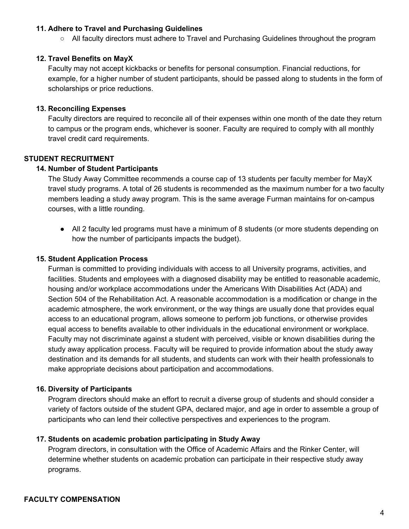#### **11. Adhere to Travel and Purchasing Guidelines**

○ All faculty directors must adhere to Travel and Purchasing Guidelines throughout the program

#### **12. Travel Benefits on MayX**

Faculty may not accept kickbacks or benefits for personal consumption. Financial reductions, for example, for a higher number of student participants, should be passed along to students in the form of scholarships or price reductions.

#### **13. Reconciling Expenses**

Faculty directors are required to reconcile all of their expenses within one month of the date they return to campus or the program ends, whichever is sooner. Faculty are required to comply with all monthly travel credit card requirements.

#### **STUDENT RECRUITMENT**

#### **14. Number of Student Participants**

The Study Away Committee recommends a course cap of 13 students per faculty member for MayX travel study programs. A total of 26 students is recommended as the maximum number for a two faculty members leading a study away program. This is the same average Furman maintains for on-campus courses, with a little rounding.

• All 2 faculty led programs must have a minimum of 8 students (or more students depending on how the number of participants impacts the budget).

#### **15. Student Application Process**

Furman is committed to providing individuals with access to all University programs, activities, and facilities. Students and employees with a diagnosed disability may be entitled to reasonable academic, housing and/or workplace accommodations under the Americans With Disabilities Act (ADA) and Section 504 of the Rehabilitation Act. A reasonable accommodation is a modification or change in the academic atmosphere, the work environment, or the way things are usually done that provides equal access to an educational program, allows someone to perform job functions, or otherwise provides equal access to benefits available to other individuals in the educational environment or workplace. Faculty may not discriminate against a student with perceived, visible or known disabilities during the study away application process. Faculty will be required to provide information about the study away destination and its demands for all students, and students can work with their health professionals to make appropriate decisions about participation and accommodations.

#### **16. Diversity of Participants**

Program directors should make an effort to recruit a diverse group of students and should consider a variety of factors outside of the student GPA, declared major, and age in order to assemble a group of participants who can lend their collective perspectives and experiences to the program.

#### **17. Students on academic probation participating in Study Away**

Program directors, in consultation with the Office of Academic Affairs and the Rinker Center, will determine whether students on academic probation can participate in their respective study away programs.